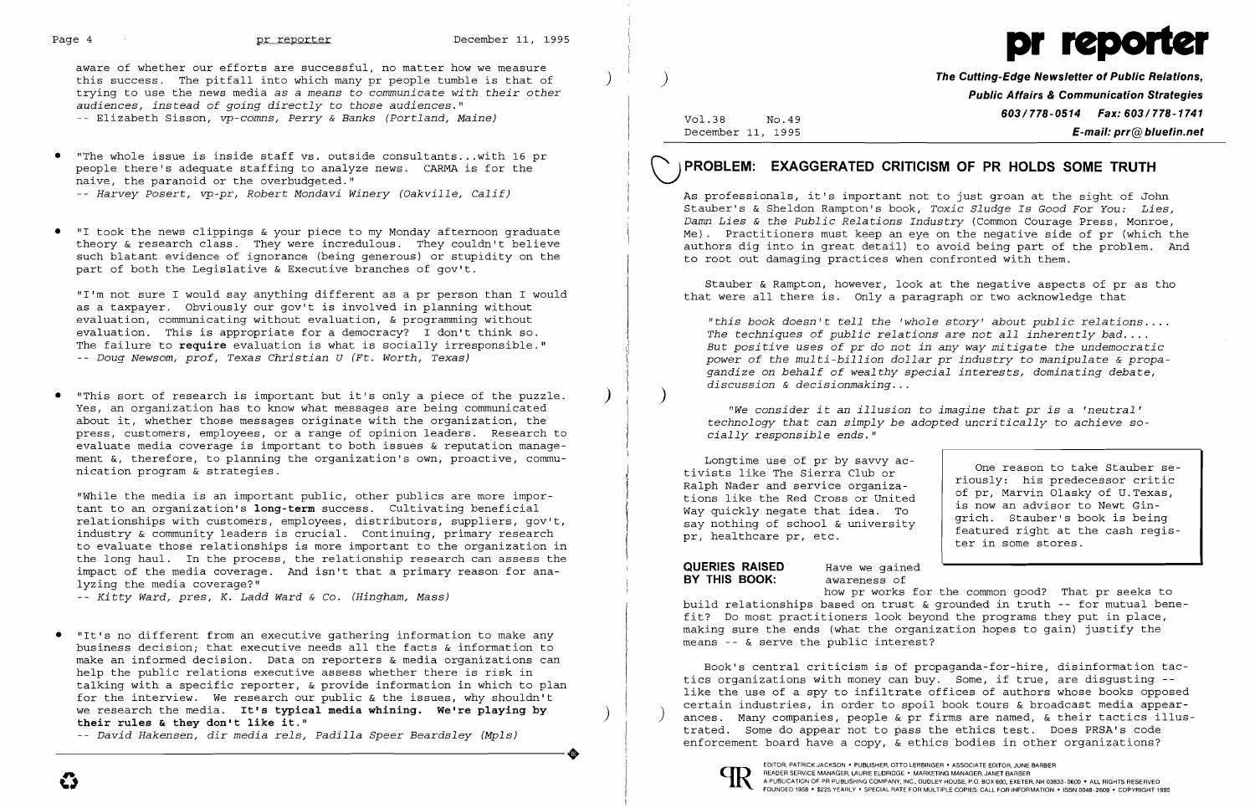

aware of whether our efforts are successful, no matter how we measure this success. The pitfall into which many pr people tumble is that of ) trying to use the news media as a *means* to *communicate with their other audiences, instead* of *going directly* to *those audiences."*  -- Elizabeth Sisson, *vp-comns, Perry* & *Banks (Portland, Maine)* 

"The whole issue is inside staff vs. outside consultants...with 16 pr people there's adequate staffing to analyze news. CARMA is for the naive, the paranoid or the overbudgeted."

"I took the news clippings & your piece to my Monday afternoon graduate theory & research class. They were incredulous. They couldn't believe such blatant evidence of ignorance (being generous) or stupidity on the part of both the Legislative & Executive branches of gov't.

-- *Harvey Posert, vp-pr, Robert Mondavi Winery (Oakville, Calif)* 

"This sort of research is important but it's only a piece of the puzzle. Yes, an organization has to know what messages are being communicated about it, whether those messages originate with the organization, the press, customers, employees, or a range of opinion leaders. Research to evaluate media coverage is important to both issues & reputation management &, therefore, to planning the organization's own, proactive, communication program & strategies.

"I'm not sure I would say anything different as a pr person than I would as a taxpayer. Obviously our gov't is involved in planning without evaluation, communicating without evaluation, & programming without evaluation. This is appropriate for a democracy? I don't think so. The failure to **require** evaluation is what is socially irresponsible." -- *Doug Newsom, prof, Texas Christian U (Ft. Worth, Texas)* 

"While the media is an important public, other publics are more important to an organization's **long-term** success. Cultivating beneficial relationships with customers, employees, distributors, suppliers, gov't, industry & community leaders is crucial. Continuing, primary research to evaluate those relationships is more important to the organization in the long haul. In the process, the relationship research can assess the impact of the media coverage. And isn't that a primary reason for analyzing the media coverage?"

- - *Ki tty Ward, pres, K. Ladd Ward* & Co. *(Hingham, Mass)* 

)

 $\mathcal{L}$ 

 $\frac{1}{\sqrt{2}}$ 

Vol.38 No.49 December 11, 1995 **The Cutting-Edge Newsletter of Public Relations, Public Affairs & Communication Strategies 603/778-0514 Fax: 603/778-1741 E-mail: prr@bluefin.net** 

# VPROBLEM: **EXAGGERATED CRITICISM OF PR HOLDS SOME TRUTH**

As professionals, it's important not to just groan at the sight of John Stauber's & Sheldon Rampton's book, *Toxic Sludge Is Good For You: Lies, Damn Lies* & *the Public Relations Industry* (Common Courage Press, Monroe, Me). Practitioners must keep an eye on the negative side of pr (which the authors dig into in great detail) to avoid being part of the problem. And to root out damaging practices when confronted with them.

that were all there is. Only a paragraph or two acknowledge that Stauber & Rampton, however, look at the negative aspects of pr as tho

*"this book doesn't tell the 'whole story' about public relatio ns .*  The techniques of public relations are not all inherently bad.... *But positive uses of pr* do *not in any way mitigate the undemocratic power of the multi-billion dollar pr industry*  to *manipulate*  & *propagandize on behalf of wealthy special interests, dominating debate, discussion*  & *decisionmaking .* . .

• "It's no different from an executive gathering information to make any business decision; that executive needs all the facts & information to make an informed decision. Data on reporters & media organizations can help the public relations executive assess whether there is risk in talking with a specific reporter, & provide information in which to plan for the interview. We research our public & the issues, why shouldn't we research the media. It's typical media whining. We're playing by their rules & they don't like it." ----------------------+

-- *David Hakensen, dir media rels, Padilla Speer Beardsley (Mpls)* 

*technology that can simply be adopted uncritically*  to *achieve*  so-*"We consider it an illusion*  to *imagine that pr is*  a *'neutral' cially responsible ends."* 

Longtime use of pr by savvy activists like The Sierra Club or Ralph Nader and service organizations like the Red Cross or United Way quickly negate that idea. To say nothing of school & university pr, healthcare pr, etc.

**BY THIS BOOK:** awareness of

**QUERIES RAISED** Have we gained

One reason to take Stauber seriously: his predecessor critic of pr, Marvin Olasky of U.Texas, is now an advisor to Newt Gingrich. Stauber's book is being featured right at the cash register in some stores.

how pr works for the common good? That pr seeks to build relationships based on trust & grounded in truth -- for mutual benefit? Do most practitioners look beyond the programs they put in place, making sure the ends (what the organization hopes to gain) justify the means -- & serve the public interest?

Book's central criticism is of propaganda-for-hire, disinformation tactics organizations with money can buy. Some, if true, are disgusting like the use of a spy to infiltrate offices of authors whose books opposed certain industries, in order to spoil book tours & broadcast media appearances. Many companies, people & pr firms are named, & their tactics illustrated. Some do appear not to pass the ethics test. Does PRSA's code enforcement board have a copy, & ethics bodies in other organizations?



FOUNDED 1958· \$225 YEARLY· SPECIAL RATE FOR MULTIPLE COPIES: CALL FOR INFORMATION· ISSN 0048-2609· COPYRIGHT 1995